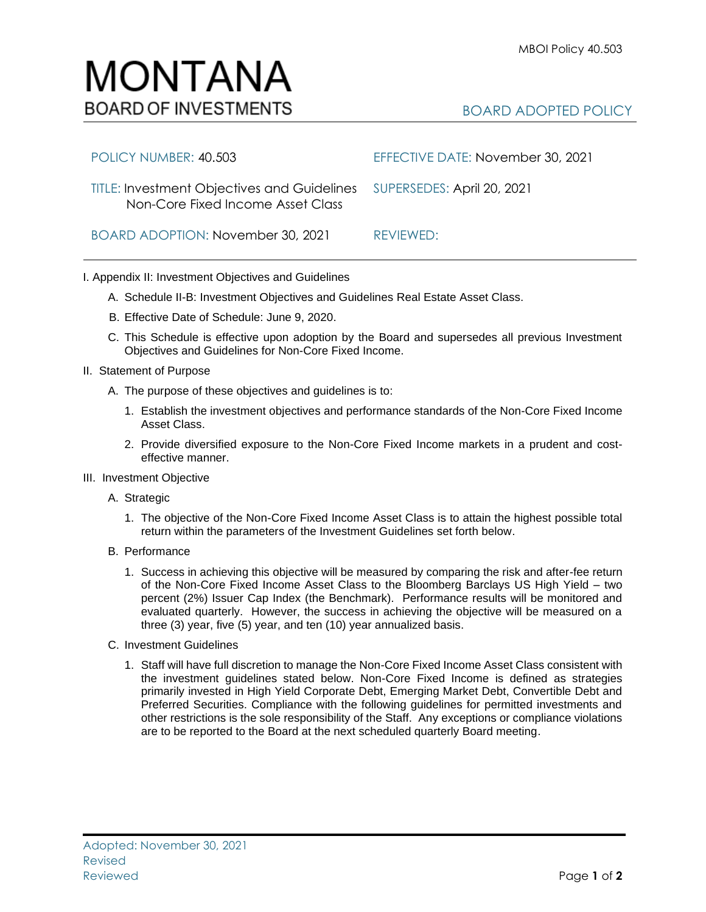## MONTANA **BOARD OF INVESTMENTS**

## BOARD ADOPTED POLICY

| POLICY NUMBER: 40.503                                                                                       | EFFECTIVE DATE: November 30, 2021 |
|-------------------------------------------------------------------------------------------------------------|-----------------------------------|
| TITLE: Investment Objectives and Guidelines SUPERSEDES: April 20, 2021<br>Non-Core Fixed Income Asset Class |                                   |
| BOARD ADOPTION: November 30, 2021                                                                           | RFVIEWED:                         |

## I. Appendix II: Investment Objectives and Guidelines

- A. Schedule II-B: Investment Objectives and Guidelines Real Estate Asset Class.
- B. Effective Date of Schedule: June 9, 2020.
- C. This Schedule is effective upon adoption by the Board and supersedes all previous Investment Objectives and Guidelines for Non-Core Fixed Income.
- II. Statement of Purpose
	- A. The purpose of these objectives and guidelines is to:
		- 1. Establish the investment objectives and performance standards of the Non-Core Fixed Income Asset Class.
		- 2. Provide diversified exposure to the Non-Core Fixed Income markets in a prudent and costeffective manner.
- III. Investment Objective
	- A. Strategic
		- 1. The objective of the Non-Core Fixed Income Asset Class is to attain the highest possible total return within the parameters of the Investment Guidelines set forth below.
	- B. Performance
		- 1. Success in achieving this objective will be measured by comparing the risk and after-fee return of the Non-Core Fixed Income Asset Class to the Bloomberg Barclays US High Yield – two percent (2%) Issuer Cap Index (the Benchmark). Performance results will be monitored and evaluated quarterly. However, the success in achieving the objective will be measured on a three (3) year, five (5) year, and ten (10) year annualized basis.
	- C. Investment Guidelines
		- 1. Staff will have full discretion to manage the Non-Core Fixed Income Asset Class consistent with the investment guidelines stated below. Non-Core Fixed Income is defined as strategies primarily invested in High Yield Corporate Debt, Emerging Market Debt, Convertible Debt and Preferred Securities. Compliance with the following guidelines for permitted investments and other restrictions is the sole responsibility of the Staff. Any exceptions or compliance violations are to be reported to the Board at the next scheduled quarterly Board meeting.